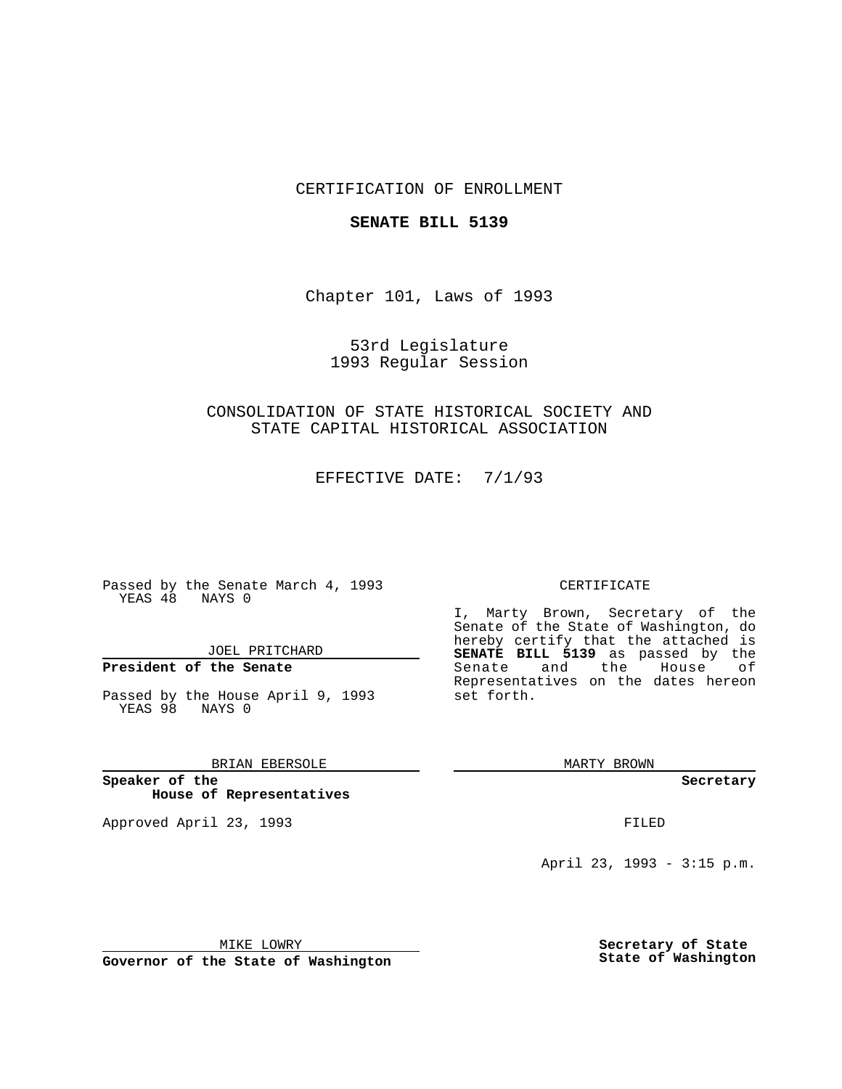## CERTIFICATION OF ENROLLMENT

### **SENATE BILL 5139**

Chapter 101, Laws of 1993

53rd Legislature 1993 Regular Session

CONSOLIDATION OF STATE HISTORICAL SOCIETY AND STATE CAPITAL HISTORICAL ASSOCIATION

EFFECTIVE DATE: 7/1/93

Passed by the Senate March 4, 1993 YEAS 48 NAYS 0

JOEL PRITCHARD

# **President of the Senate**

Passed by the House April 9, 1993 YEAS 98 NAYS 0

BRIAN EBERSOLE

**Speaker of the House of Representatives**

Approved April 23, 1993 **FILED** 

#### CERTIFICATE

I, Marty Brown, Secretary of the Senate of the State of Washington, do hereby certify that the attached is **SENATE BILL 5139** as passed by the Senate and the House of Representatives on the dates hereon set forth.

MARTY BROWN

**Secretary**

April 23, 1993 - 3:15 p.m.

MIKE LOWRY

**Governor of the State of Washington**

**Secretary of State State of Washington**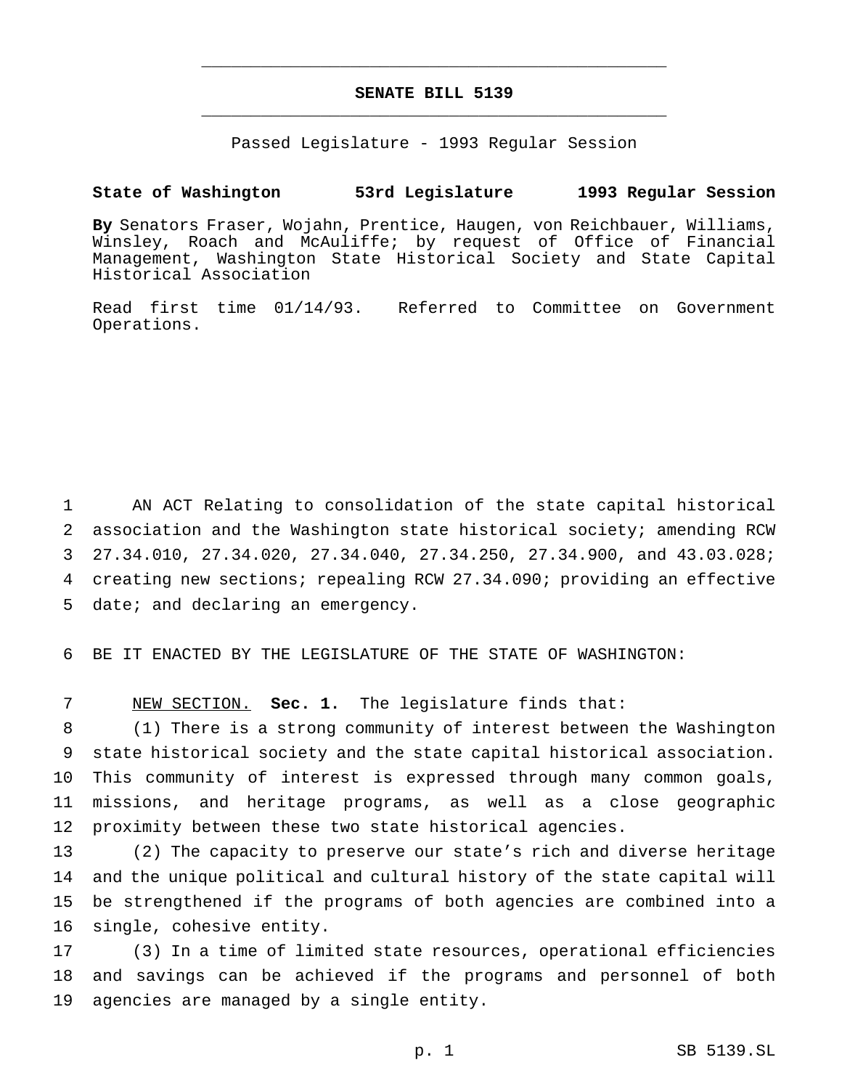# **SENATE BILL 5139** \_\_\_\_\_\_\_\_\_\_\_\_\_\_\_\_\_\_\_\_\_\_\_\_\_\_\_\_\_\_\_\_\_\_\_\_\_\_\_\_\_\_\_\_\_\_\_

\_\_\_\_\_\_\_\_\_\_\_\_\_\_\_\_\_\_\_\_\_\_\_\_\_\_\_\_\_\_\_\_\_\_\_\_\_\_\_\_\_\_\_\_\_\_\_

Passed Legislature - 1993 Regular Session

### **State of Washington 53rd Legislature 1993 Regular Session**

**By** Senators Fraser, Wojahn, Prentice, Haugen, von Reichbauer, Williams, Winsley, Roach and McAuliffe; by request of Office of Financial Management, Washington State Historical Society and State Capital Historical Association

Read first time 01/14/93. Referred to Committee on Government Operations.

 AN ACT Relating to consolidation of the state capital historical association and the Washington state historical society; amending RCW 27.34.010, 27.34.020, 27.34.040, 27.34.250, 27.34.900, and 43.03.028; creating new sections; repealing RCW 27.34.090; providing an effective date; and declaring an emergency.

BE IT ENACTED BY THE LEGISLATURE OF THE STATE OF WASHINGTON:

NEW SECTION. **Sec. 1.** The legislature finds that:

 (1) There is a strong community of interest between the Washington state historical society and the state capital historical association. This community of interest is expressed through many common goals, missions, and heritage programs, as well as a close geographic proximity between these two state historical agencies.

 (2) The capacity to preserve our state's rich and diverse heritage and the unique political and cultural history of the state capital will be strengthened if the programs of both agencies are combined into a single, cohesive entity.

 (3) In a time of limited state resources, operational efficiencies and savings can be achieved if the programs and personnel of both agencies are managed by a single entity.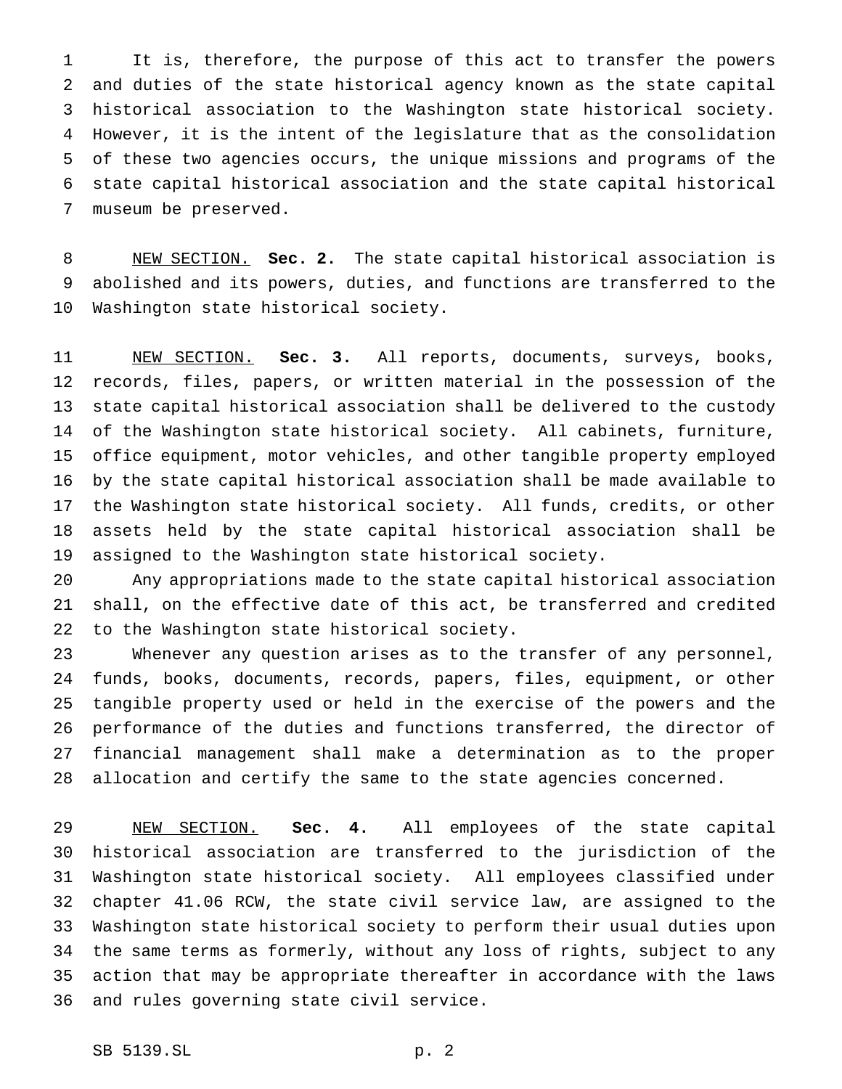It is, therefore, the purpose of this act to transfer the powers and duties of the state historical agency known as the state capital historical association to the Washington state historical society. However, it is the intent of the legislature that as the consolidation of these two agencies occurs, the unique missions and programs of the state capital historical association and the state capital historical museum be preserved.

 NEW SECTION. **Sec. 2.** The state capital historical association is abolished and its powers, duties, and functions are transferred to the Washington state historical society.

 NEW SECTION. **Sec. 3.** All reports, documents, surveys, books, records, files, papers, or written material in the possession of the state capital historical association shall be delivered to the custody of the Washington state historical society. All cabinets, furniture, office equipment, motor vehicles, and other tangible property employed by the state capital historical association shall be made available to the Washington state historical society. All funds, credits, or other assets held by the state capital historical association shall be assigned to the Washington state historical society.

 Any appropriations made to the state capital historical association shall, on the effective date of this act, be transferred and credited to the Washington state historical society.

 Whenever any question arises as to the transfer of any personnel, funds, books, documents, records, papers, files, equipment, or other tangible property used or held in the exercise of the powers and the performance of the duties and functions transferred, the director of financial management shall make a determination as to the proper allocation and certify the same to the state agencies concerned.

 NEW SECTION. **Sec. 4.** All employees of the state capital historical association are transferred to the jurisdiction of the Washington state historical society. All employees classified under chapter 41.06 RCW, the state civil service law, are assigned to the Washington state historical society to perform their usual duties upon the same terms as formerly, without any loss of rights, subject to any action that may be appropriate thereafter in accordance with the laws and rules governing state civil service.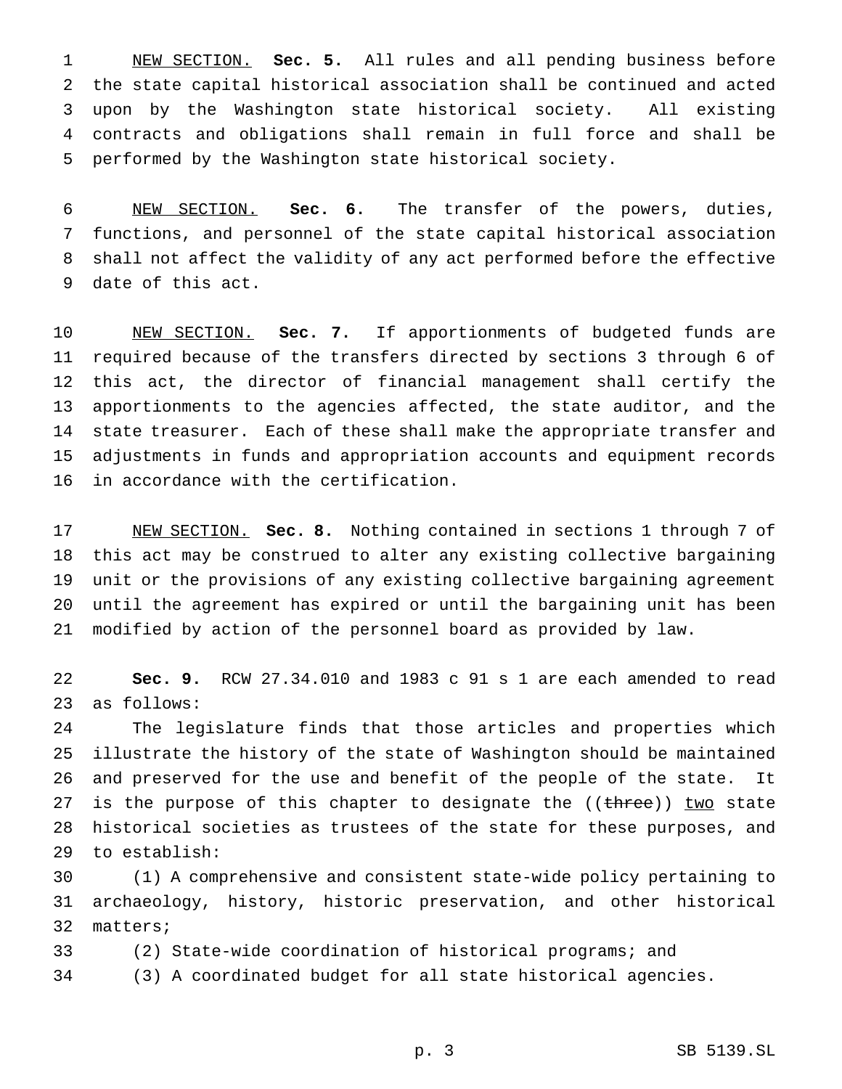NEW SECTION. **Sec. 5.** All rules and all pending business before the state capital historical association shall be continued and acted upon by the Washington state historical society. All existing contracts and obligations shall remain in full force and shall be performed by the Washington state historical society.

 NEW SECTION. **Sec. 6.** The transfer of the powers, duties, functions, and personnel of the state capital historical association shall not affect the validity of any act performed before the effective date of this act.

 NEW SECTION. **Sec. 7.** If apportionments of budgeted funds are required because of the transfers directed by sections 3 through 6 of this act, the director of financial management shall certify the apportionments to the agencies affected, the state auditor, and the state treasurer. Each of these shall make the appropriate transfer and adjustments in funds and appropriation accounts and equipment records in accordance with the certification.

 NEW SECTION. **Sec. 8.** Nothing contained in sections 1 through 7 of this act may be construed to alter any existing collective bargaining unit or the provisions of any existing collective bargaining agreement until the agreement has expired or until the bargaining unit has been modified by action of the personnel board as provided by law.

 **Sec. 9.** RCW 27.34.010 and 1983 c 91 s 1 are each amended to read as follows:

 The legislature finds that those articles and properties which illustrate the history of the state of Washington should be maintained and preserved for the use and benefit of the people of the state. It 27 is the purpose of this chapter to designate the ((three)) two state historical societies as trustees of the state for these purposes, and to establish:

 (1) A comprehensive and consistent state-wide policy pertaining to archaeology, history, historic preservation, and other historical matters;

(2) State-wide coordination of historical programs; and

(3) A coordinated budget for all state historical agencies.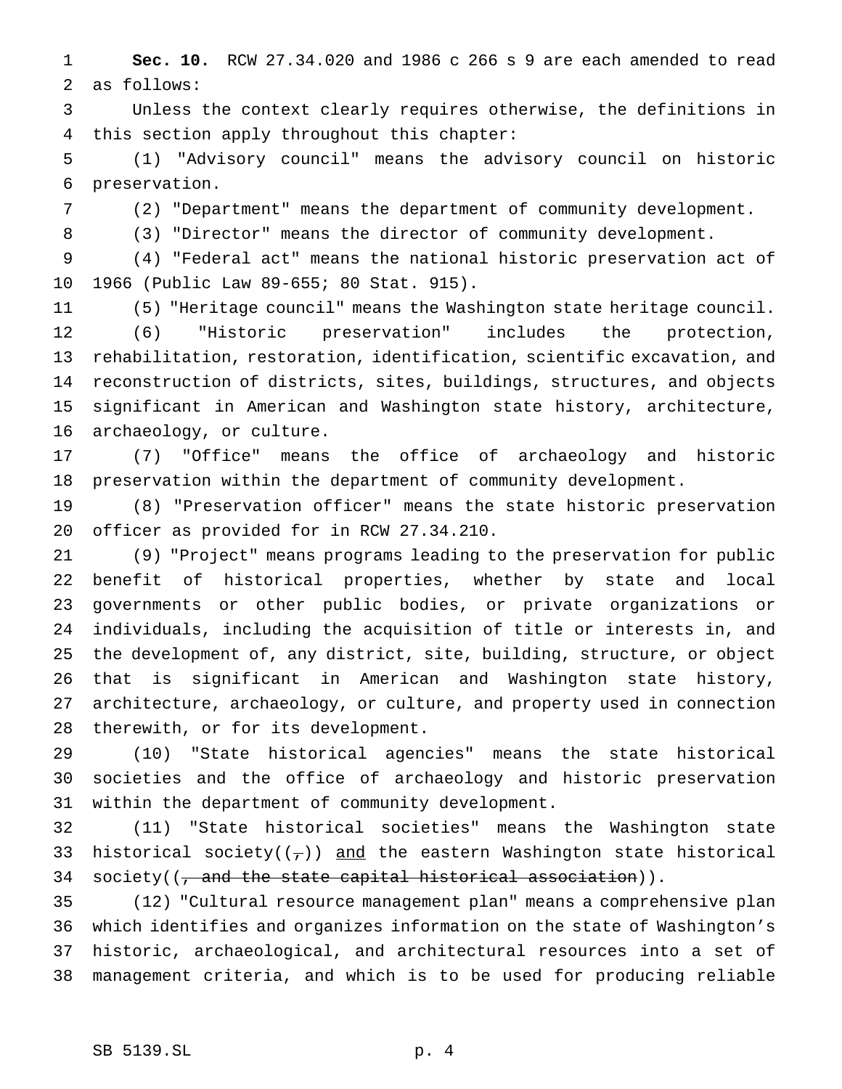**Sec. 10.** RCW 27.34.020 and 1986 c 266 s 9 are each amended to read as follows:

 Unless the context clearly requires otherwise, the definitions in this section apply throughout this chapter:

 (1) "Advisory council" means the advisory council on historic preservation.

(2) "Department" means the department of community development.

(3) "Director" means the director of community development.

 (4) "Federal act" means the national historic preservation act of 1966 (Public Law 89-655; 80 Stat. 915).

(5) "Heritage council" means the Washington state heritage council.

 (6) "Historic preservation" includes the protection, rehabilitation, restoration, identification, scientific excavation, and reconstruction of districts, sites, buildings, structures, and objects significant in American and Washington state history, architecture, archaeology, or culture.

 (7) "Office" means the office of archaeology and historic preservation within the department of community development.

 (8) "Preservation officer" means the state historic preservation officer as provided for in RCW 27.34.210.

 (9) "Project" means programs leading to the preservation for public benefit of historical properties, whether by state and local governments or other public bodies, or private organizations or individuals, including the acquisition of title or interests in, and the development of, any district, site, building, structure, or object that is significant in American and Washington state history, architecture, archaeology, or culture, and property used in connection therewith, or for its development.

 (10) "State historical agencies" means the state historical societies and the office of archaeology and historic preservation within the department of community development.

 (11) "State historical societies" means the Washington state 33 historical society( $(\tau)$ ) and the eastern Washington state historical 34 society( $(\tau$  and the state capital historical association)).

 (12) "Cultural resource management plan" means a comprehensive plan which identifies and organizes information on the state of Washington's historic, archaeological, and architectural resources into a set of management criteria, and which is to be used for producing reliable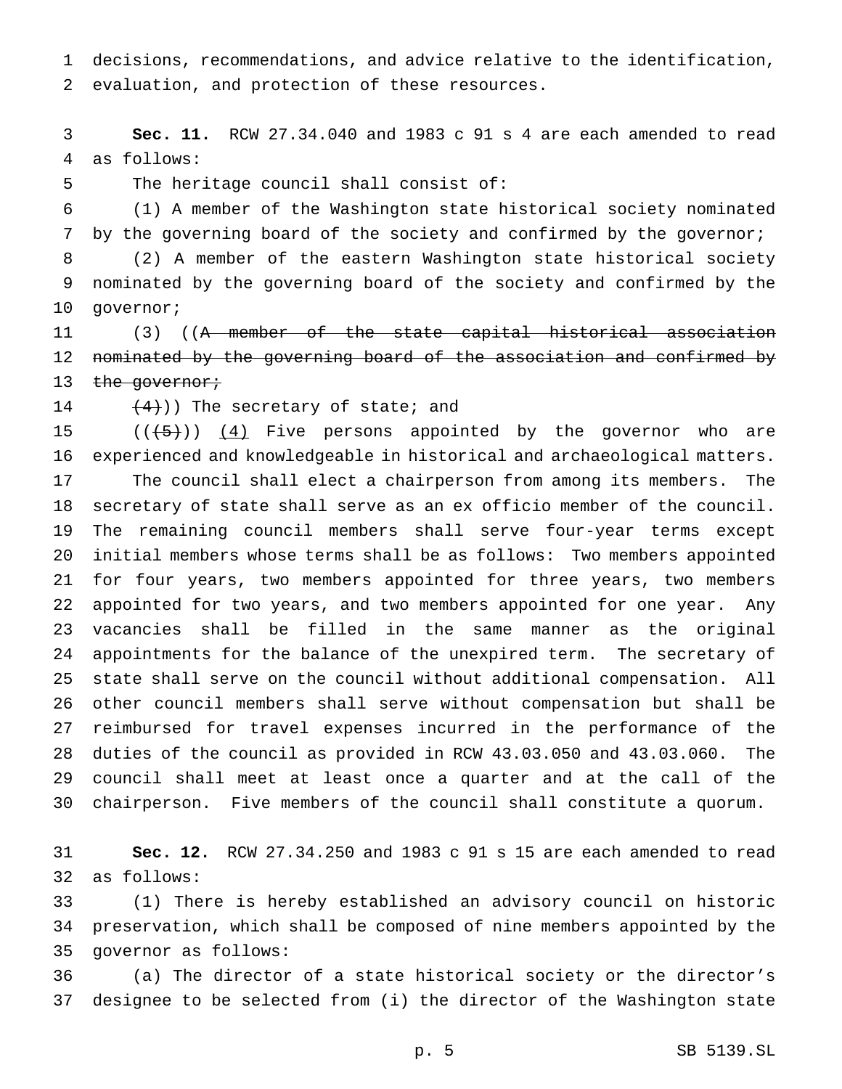decisions, recommendations, and advice relative to the identification, evaluation, and protection of these resources.

 **Sec. 11.** RCW 27.34.040 and 1983 c 91 s 4 are each amended to read as follows:

The heritage council shall consist of:

(1) A member of the Washington state historical society nominated

7 by the governing board of the society and confirmed by the governor; (2) A member of the eastern Washington state historical society

 nominated by the governing board of the society and confirmed by the governor;

 (3) ((A member of the state capital historical association nominated by the governing board of the association and confirmed by 13 the governor;

14  $(4)$ )) The secretary of state; and

 $((+5+))$   $(4)$  Five persons appointed by the governor who are experienced and knowledgeable in historical and archaeological matters. The council shall elect a chairperson from among its members. The secretary of state shall serve as an ex officio member of the council. The remaining council members shall serve four-year terms except initial members whose terms shall be as follows: Two members appointed for four years, two members appointed for three years, two members appointed for two years, and two members appointed for one year. Any vacancies shall be filled in the same manner as the original appointments for the balance of the unexpired term. The secretary of state shall serve on the council without additional compensation. All other council members shall serve without compensation but shall be reimbursed for travel expenses incurred in the performance of the duties of the council as provided in RCW 43.03.050 and 43.03.060. The council shall meet at least once a quarter and at the call of the chairperson. Five members of the council shall constitute a quorum.

 **Sec. 12.** RCW 27.34.250 and 1983 c 91 s 15 are each amended to read as follows:

 (1) There is hereby established an advisory council on historic preservation, which shall be composed of nine members appointed by the governor as follows:

 (a) The director of a state historical society or the director's designee to be selected from (i) the director of the Washington state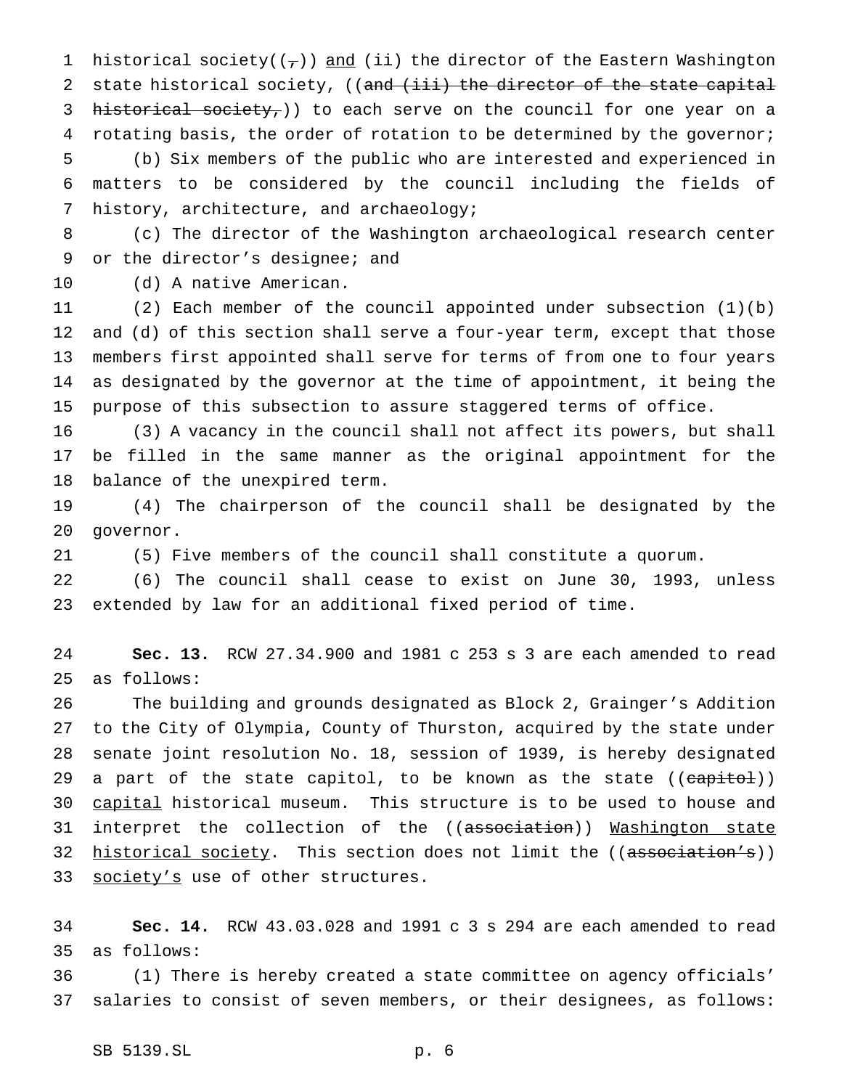1 historical society( $(\tau)$ ) and (ii) the director of the Eastern Washington 2 state historical society, ((and (iii) the director of the state capital 3 historical society,)) to each serve on the council for one year on a 4 rotating basis, the order of rotation to be determined by the governor; (b) Six members of the public who are interested and experienced in matters to be considered by the council including the fields of history, architecture, and archaeology;

 (c) The director of the Washington archaeological research center or the director's designee; and

(d) A native American.

 (2) Each member of the council appointed under subsection (1)(b) and (d) of this section shall serve a four-year term, except that those members first appointed shall serve for terms of from one to four years as designated by the governor at the time of appointment, it being the purpose of this subsection to assure staggered terms of office.

 (3) A vacancy in the council shall not affect its powers, but shall be filled in the same manner as the original appointment for the balance of the unexpired term.

 (4) The chairperson of the council shall be designated by the governor.

(5) Five members of the council shall constitute a quorum.

 (6) The council shall cease to exist on June 30, 1993, unless extended by law for an additional fixed period of time.

 **Sec. 13.** RCW 27.34.900 and 1981 c 253 s 3 are each amended to read as follows:

 The building and grounds designated as Block 2, Grainger's Addition to the City of Olympia, County of Thurston, acquired by the state under senate joint resolution No. 18, session of 1939, is hereby designated 29 a part of the state capitol, to be known as the state ((capitol)) capital historical museum. This structure is to be used to house and 31 interpret the collection of the ((association)) Washington state 32 <u>historical society</u>. This section does not limit the ((association's)) 33 society's use of other structures.

 **Sec. 14.** RCW 43.03.028 and 1991 c 3 s 294 are each amended to read as follows:

 (1) There is hereby created a state committee on agency officials' salaries to consist of seven members, or their designees, as follows: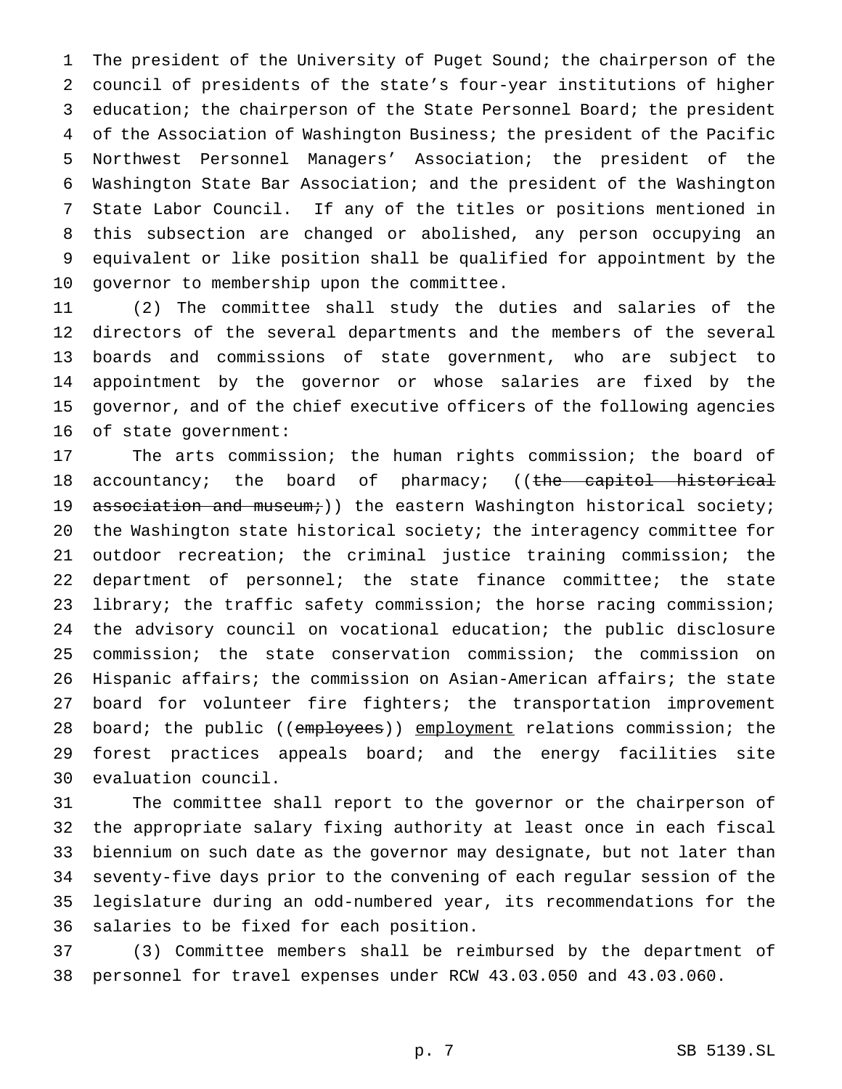The president of the University of Puget Sound; the chairperson of the council of presidents of the state's four-year institutions of higher 3 education; the chairperson of the State Personnel Board; the president of the Association of Washington Business; the president of the Pacific Northwest Personnel Managers' Association; the president of the Washington State Bar Association; and the president of the Washington State Labor Council. If any of the titles or positions mentioned in this subsection are changed or abolished, any person occupying an equivalent or like position shall be qualified for appointment by the governor to membership upon the committee.

 (2) The committee shall study the duties and salaries of the directors of the several departments and the members of the several boards and commissions of state government, who are subject to appointment by the governor or whose salaries are fixed by the governor, and of the chief executive officers of the following agencies of state government:

 The arts commission; the human rights commission; the board of 18 accountancy; the board of pharmacy; ((the capitol historical 19 association and museum;)) the eastern Washington historical society; the Washington state historical society; the interagency committee for outdoor recreation; the criminal justice training commission; the department of personnel; the state finance committee; the state 23 library; the traffic safety commission; the horse racing commission; the advisory council on vocational education; the public disclosure commission; the state conservation commission; the commission on Hispanic affairs; the commission on Asian-American affairs; the state board for volunteer fire fighters; the transportation improvement 28 board; the public ((employees)) employment relations commission; the forest practices appeals board; and the energy facilities site evaluation council.

 The committee shall report to the governor or the chairperson of the appropriate salary fixing authority at least once in each fiscal biennium on such date as the governor may designate, but not later than seventy-five days prior to the convening of each regular session of the legislature during an odd-numbered year, its recommendations for the salaries to be fixed for each position.

 (3) Committee members shall be reimbursed by the department of personnel for travel expenses under RCW 43.03.050 and 43.03.060.